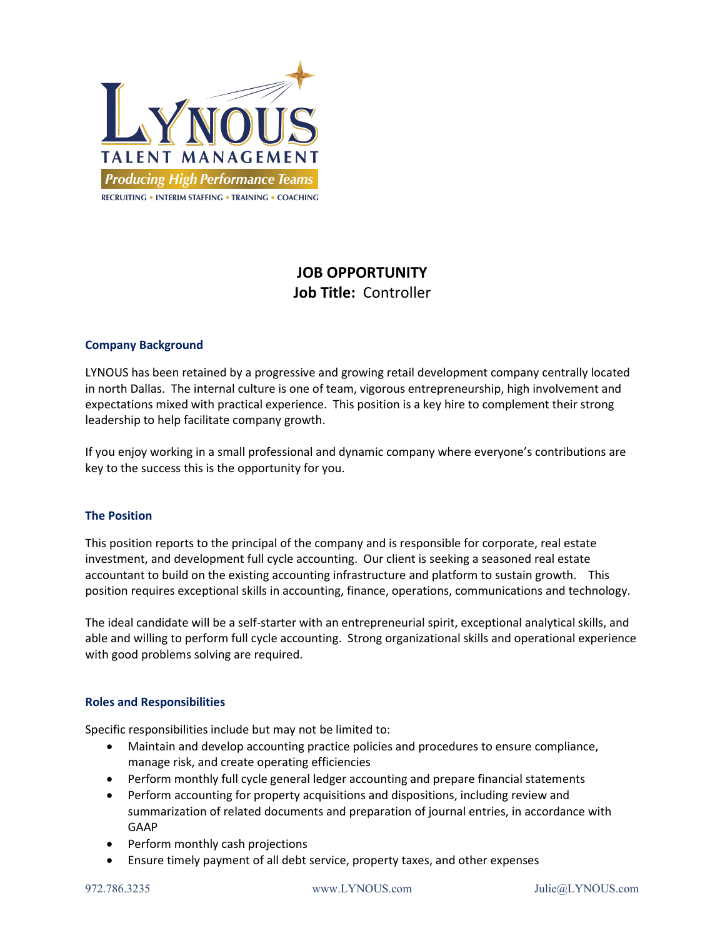

# JOB OPPORTUNITY Job Title: Controller

# Company Background

LYNOUS has been retained by a progressive and growing retail development company centrally located in north Dallas. The internal culture is one of team, vigorous entrepreneurship, high involvement and expectations mixed with practical experience. This position is a key hire to complement their strong leadership to help facilitate company growth.

If you enjoy working in a small professional and dynamic company where everyone's contributions are key to the success this is the opportunity for you.

# The Position

This position reports to the principal of the company and is responsible for corporate, real estate investment, and development full cycle accounting. Our client is seeking a seasoned real estate accountant to build on the existing accounting infrastructure and platform to sustain growth. This position requires exceptional skills in accounting, finance, operations, communications and technology.

The ideal candidate will be a self-starter with an entrepreneurial spirit, exceptional analytical skills, and able and willing to perform full cycle accounting. Strong organizational skills and operational experience with good problems solving are required.

## Roles and Responsibilities

Specific responsibilities include but may not be limited to:

- Maintain and develop accounting practice policies and procedures to ensure compliance, manage risk, and create operating efficiencies
- Perform monthly full cycle general ledger accounting and prepare financial statements
- Perform accounting for property acquisitions and dispositions, including review and summarization of related documents and preparation of journal entries, in accordance with GAAP
- Perform monthly cash projections
- Ensure timely payment of all debt service, property taxes, and other expenses